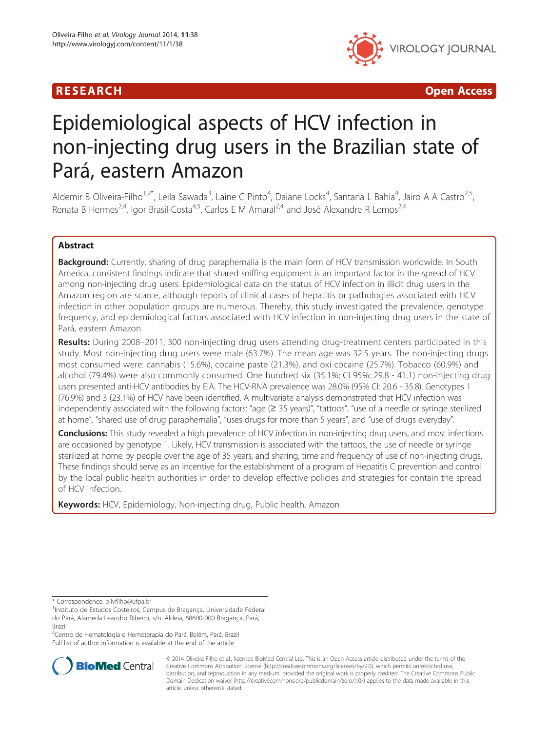



# Epidemiological aspects of HCV infection in non-injecting drug users in the Brazilian state of Pará, eastern Amazon

Aldemir B Oliveira-Filho<sup>1,2\*</sup>, Leila Sawada<sup>3</sup>, Laine C Pinto<sup>4</sup>, Daiane Locks<sup>4</sup>, Santana L Bahia<sup>4</sup>, Jairo A A Castro<sup>2,5</sup>, Renata B Hermes<sup>2,4</sup>, Igor Brasil-Costa<sup>4,5</sup>, Carlos E M Amaral<sup>2,4</sup> and José Alexandre R Lemos<sup>2,4</sup>

# Abstract

Background: Currently, sharing of drug paraphernalia is the main form of HCV transmission worldwide. In South America, consistent findings indicate that shared sniffing equipment is an important factor in the spread of HCV among non-injecting drug users. Epidemiological data on the status of HCV infection in illicit drug users in the Amazon region are scarce, although reports of clinical cases of hepatitis or pathologies associated with HCV infection in other population groups are numerous. Thereby, this study investigated the prevalence, genotype frequency, and epidemiological factors associated with HCV infection in non-injecting drug users in the state of Pará, eastern Amazon.

Results: During 2008-2011, 300 non-injecting drug users attending drug-treatment centers participated in this study. Most non-injecting drug users were male (63.7%). The mean age was 32.5 years. The non-injecting drugs most consumed were: cannabis (15.6%), cocaine paste (21.3%), and oxi cocaine (25.7%). Tobacco (60.9%) and alcohol (79.4%) were also commonly consumed. One hundred six (35.1%; CI 95%: 29.8 - 41.1) non-injecting drug users presented anti-HCV antibodies by EIA. The HCV-RNA prevalence was 28.0% (95% CI: 20.6 - 35.8). Genotypes 1 (76.9%) and 3 (23.1%) of HCV have been identified. A multivariate analysis demonstrated that HCV infection was independently associated with the following factors: "age (≥ 35 years)", "tattoos", "use of a needle or syringe sterilized at home", "shared use of drug paraphernalia", "uses drugs for more than 5 years", and "use of drugs everyday".

**Conclusions:** This study revealed a high prevalence of HCV infection in non-injecting drug users, and most infections are occasioned by genotype 1. Likely, HCV transmission is associated with the tattoos, the use of needle or syringe sterilized at home by people over the age of 35 years, and sharing, time and frequency of use of non-injecting drugs. These findings should serve as an incentive for the establishment of a program of Hepatitis C prevention and control by the local public-health authorities in order to develop effective policies and strategies for contain the spread of HCV infection.

Keywords: HCV, Epidemiology, Non-injecting drug, Public health, Amazon

\* Correspondence: [olivfilho@ufpa.br](mailto:olivfilho@ufpa.br) <sup>1</sup>

<sup>1</sup>Instituto de Estudos Costeiros, Campus de Bragança, Universidade Federal do Pará, Alameda Leandro Ribeiro, s/n. Aldeia, 68600-000 Bragança, Pará, Brazil

<sup>2</sup>Centro de Hematologia e Hemoterapia do Pará, Belém, Pará, Brazil Full list of author information is available at the end of the article



© 2014 Oliveira-Filho et al.; licensee BioMed Central Ltd. This is an Open Access article distributed under the terms of the Creative Commons Attribution License (<http://creativecommons.org/licenses/by/2.0>), which permits unrestricted use, distribution, and reproduction in any medium, provided the original work is properly credited. The Creative Commons Public Domain Dedication waiver [\(http://creativecommons.org/publicdomain/zero/1.0/\)](http://creativecommons.org/publicdomain/zero/1.0/) applies to the data made available in this article, unless otherwise stated.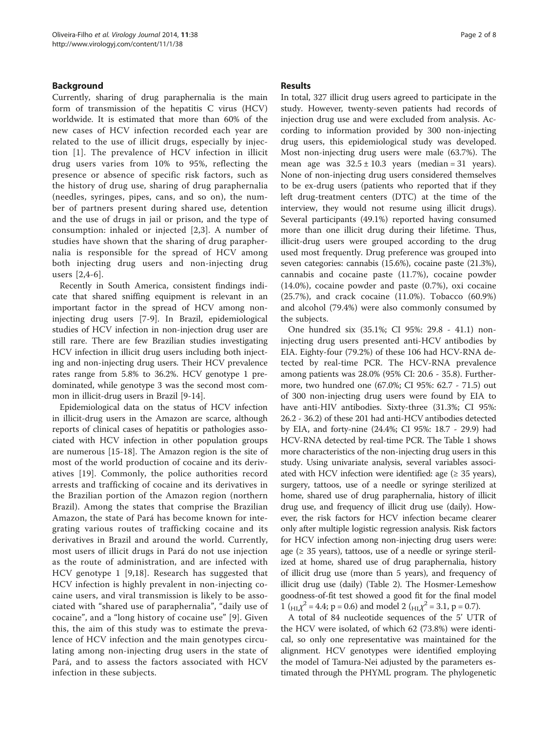# Background

Currently, sharing of drug paraphernalia is the main form of transmission of the hepatitis C virus (HCV) worldwide. It is estimated that more than 60% of the new cases of HCV infection recorded each year are related to the use of illicit drugs, especially by injection [\[1\]](#page-6-0). The prevalence of HCV infection in illicit drug users varies from 10% to 95%, reflecting the presence or absence of specific risk factors, such as the history of drug use, sharing of drug paraphernalia (needles, syringes, pipes, cans, and so on), the number of partners present during shared use, detention and the use of drugs in jail or prison, and the type of consumption: inhaled or injected [[2](#page-6-0),[3\]](#page-6-0). A number of studies have shown that the sharing of drug paraphernalia is responsible for the spread of HCV among both injecting drug users and non-injecting drug users [\[2](#page-6-0),[4-6\]](#page-6-0).

Recently in South America, consistent findings indicate that shared sniffing equipment is relevant in an important factor in the spread of HCV among noninjecting drug users [\[7](#page-6-0)-[9\]](#page-6-0). In Brazil, epidemiological studies of HCV infection in non-injection drug user are still rare. There are few Brazilian studies investigating HCV infection in illicit drug users including both injecting and non-injecting drug users. Their HCV prevalence rates range from 5.8% to 36.2%. HCV genotype 1 predominated, while genotype 3 was the second most common in illicit-drug users in Brazil [\[9-14](#page-6-0)].

Epidemiological data on the status of HCV infection in illicit-drug users in the Amazon are scarce, although reports of clinical cases of hepatitis or pathologies associated with HCV infection in other population groups are numerous [\[15](#page-6-0)-[18\]](#page-6-0). The Amazon region is the site of most of the world production of cocaine and its derivatives [[19](#page-6-0)]. Commonly, the police authorities record arrests and trafficking of cocaine and its derivatives in the Brazilian portion of the Amazon region (northern Brazil). Among the states that comprise the Brazilian Amazon, the state of Pará has become known for integrating various routes of trafficking cocaine and its derivatives in Brazil and around the world. Currently, most users of illicit drugs in Pará do not use injection as the route of administration, and are infected with HCV genotype 1 [[9,18](#page-6-0)]. Research has suggested that HCV infection is highly prevalent in non-injecting cocaine users, and viral transmission is likely to be associated with "shared use of paraphernalia", "daily use of cocaine", and a "long history of cocaine use" [[9\]](#page-6-0). Given this, the aim of this study was to estimate the prevalence of HCV infection and the main genotypes circulating among non-injecting drug users in the state of Pará, and to assess the factors associated with HCV infection in these subjects.

# **Results**

In total, 327 illicit drug users agreed to participate in the study. However, twenty-seven patients had records of injection drug use and were excluded from analysis. According to information provided by 300 non-injecting drug users, this epidemiological study was developed. Most non-injecting drug users were male (63.7%). The mean age was  $32.5 \pm 10.3$  years (median = 31 years). None of non-injecting drug users considered themselves to be ex-drug users (patients who reported that if they left drug-treatment centers (DTC) at the time of the interview, they would not resume using illicit drugs). Several participants (49.1%) reported having consumed more than one illicit drug during their lifetime. Thus, illicit-drug users were grouped according to the drug used most frequently. Drug preference was grouped into seven categories: cannabis (15.6%), cocaine paste (21.3%), cannabis and cocaine paste (11.7%), cocaine powder (14.0%), cocaine powder and paste (0.7%), oxi cocaine (25.7%), and crack cocaine (11.0%). Tobacco (60.9%) and alcohol (79.4%) were also commonly consumed by the subjects.

One hundred six (35.1%; CI 95%: 29.8 - 41.1) noninjecting drug users presented anti-HCV antibodies by EIA. Eighty-four (79.2%) of these 106 had HCV-RNA detected by real-time PCR. The HCV-RNA prevalence among patients was 28.0% (95% CI: 20.6 - 35.8). Furthermore, two hundred one (67.0%; CI 95%: 62.7 - 71.5) out of 300 non-injecting drug users were found by EIA to have anti-HIV antibodies. Sixty-three (31.3%; CI 95%: 26.2 - 36.2) of these 201 had anti-HCV antibodies detected by EIA, and forty-nine (24.4%; CI 95%: 18.7 - 29.9) had HCV-RNA detected by real-time PCR. The Table [1](#page-2-0) shows more characteristics of the non-injecting drug users in this study. Using univariate analysis, several variables associated with HCV infection were identified: age  $(≥ 35$  years), surgery, tattoos, use of a needle or syringe sterilized at home, shared use of drug paraphernalia, history of illicit drug use, and frequency of illicit drug use (daily). However, the risk factors for HCV infection became clearer only after multiple logistic regression analysis. Risk factors for HCV infection among non-injecting drug users were: age ( $\geq$  35 years), tattoos, use of a needle or syringe sterilized at home, shared use of drug paraphernalia, history of illicit drug use (more than 5 years), and frequency of illicit drug use (daily) (Table [2](#page-2-0)). The Hosmer-Lemeshow goodness-of-fit test showed a good fit for the final model 1 ( $_{\text{HL}} \chi^2$  = 4.4; p = 0.6) and model 2 ( $_{\text{HL}} \chi^2$  = 3.1, p = 0.7).

A total of 84 nucleotide sequences of the 5' UTR of the HCV were isolated, of which 62 (73.8%) were identical, so only one representative was maintained for the alignment. HCV genotypes were identified employing the model of Tamura-Nei adjusted by the parameters estimated through the PHYML program. The phylogenetic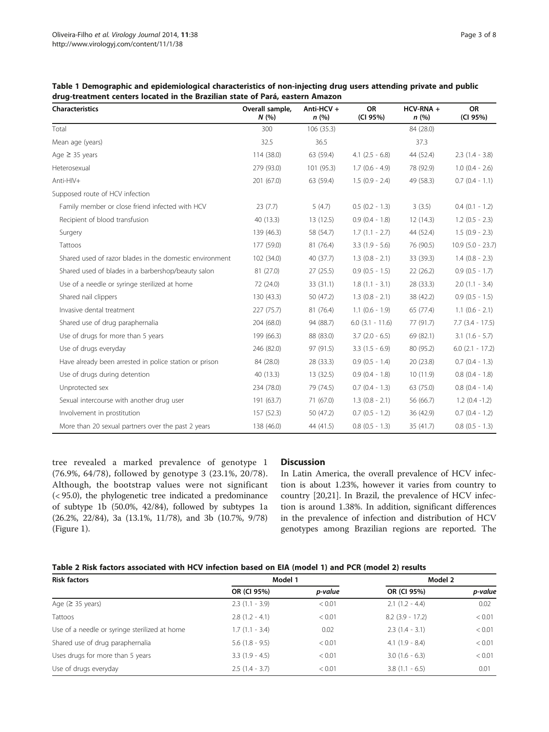<span id="page-2-0"></span>

| Table 1 Demographic and epidemiological characteristics of non-injecting drug users attending private and public |  |
|------------------------------------------------------------------------------------------------------------------|--|
| drug-treatment centers located in the Brazilian state of Pará, eastern Amazon                                    |  |

| <b>Characteristics</b>                                  | Overall sample,<br>N(% | Anti-HCV +<br>n(%) | <b>OR</b><br>(CI 95%) | HCV-RNA +<br>n(%) | <b>OR</b><br>(CI 95%) |
|---------------------------------------------------------|------------------------|--------------------|-----------------------|-------------------|-----------------------|
| Total                                                   | 300                    | 106 (35.3)         |                       | 84 (28.0)         |                       |
| Mean age (years)                                        | 32.5                   | 36.5               |                       | 37.3              |                       |
| Age $\geq$ 35 years                                     | 114 (38.0)             | 63 (59.4)          | $4.1$ $(2.5 - 6.8)$   | 44 (52.4)         | $2.3(1.4 - 3.8)$      |
| Heterosexual                                            | 279 (93.0)             | 101(95.3)          | $1.7(0.6 - 4.9)$      | 78 (92.9)         | $1.0$ (0.4 - 2.6)     |
| Anti-HIV+                                               | 201 (67.0)             | 63 (59.4)          | $1.5(0.9 - 2.4)$      | 49 (58.3)         | $0.7$ $(0.4 - 1.1)$   |
| Supposed route of HCV infection                         |                        |                    |                       |                   |                       |
| Family member or close friend infected with HCV         | 23(7.7)                | 5(4.7)             | $0.5$ $(0.2 - 1.3)$   | 3(3.5)            | $0.4$ $(0.1 - 1.2)$   |
| Recipient of blood transfusion                          | 40 (13.3)              | 13(12.5)           | $0.9(0.4 - 1.8)$      | 12(14.3)          | $1.2$ (0.5 - 2.3)     |
| Surgery                                                 | 139 (46.3)             | 58 (54.7)          | $1.7(1.1 - 2.7)$      | 44 (52.4)         | $1.5(0.9 - 2.3)$      |
| Tattoos                                                 | 177 (59.0)             | 81 (76.4)          | $3.3(1.9 - 5.6)$      | 76 (90.5)         | $10.9(5.0 - 23.7)$    |
| Shared used of razor blades in the domestic environment | 102 (34.0)             | 40 (37.7)          | $1.3$ (0.8 - 2.1)     | 33 (39.3)         | $1.4$ (0.8 - 2.3)     |
| Shared used of blades in a barbershop/beauty salon      | 81 (27.0)              | 27(25.5)           | $0.9$ (0.5 - 1.5)     | 22(26.2)          | $0.9$ (0.5 - 1.7)     |
| Use of a needle or syringe sterilized at home           | 72 (24.0)              | 33 (31.1)          | $1.8(1.1 - 3.1)$      | 28 (33.3)         | $2.0$ (1.1 - 3.4)     |
| Shared nail clippers                                    | 130(43.3)              | 50 (47.2)          | $1.3$ (0.8 - 2.1)     | 38 (42.2)         | $0.9$ (0.5 - 1.5)     |
| Invasive dental treatment                               | 227(75.7)              | 81 (76.4)          | $1.1$ (0.6 - 1.9)     | 65 (77.4)         | $1.1$ (0.6 - 2.1)     |
| Shared use of drug paraphernalia                        | 204 (68.0)             | 94 (88.7)          | $6.0$ $(3.1 - 11.6)$  | 77 (91.7)         | $7.7$ $(3.4 - 17.5)$  |
| Use of drugs for more than 5 years                      | 199 (66.3)             | 88 (83.0)          | $3.7(2.0 - 6.5)$      | 69 (82.1)         | $3.1$ (1.6 - 5.7)     |
| Use of drugs everyday                                   | 246 (82.0)             | 97 (91.5)          | $3.3(1.5 - 6.9)$      | 80 (95.2)         | $6.0$ $(2.1 - 17.2)$  |
| Have already been arrested in police station or prison  | 84 (28.0)              | 28 (33.3)          | $0.9$ $(0.5 - 1.4)$   | 20 (23.8)         | $0.7$ (0.4 - 1.3)     |
| Use of drugs during detention                           | 40 (13.3)              | 13 (32.5)          | $0.9$ $(0.4 - 1.8)$   | 10(11.9)          | $0.8$ $(0.4 - 1.8)$   |
| Unprotected sex                                         | 234 (78.0)             | 79 (74.5)          | $0.7(0.4 - 1.3)$      | 63 (75.0)         | $0.8$ $(0.4 - 1.4)$   |
| Sexual intercourse with another drug user               | 191 (63.7)             | 71 (67.0)          | $1.3$ (0.8 - 2.1)     | 56 (66.7)         | $1.2(0.4 - 1.2)$      |
| Involvement in prostitution                             | 157 (52.3)             | 50 (47.2)          | $0.7$ (0.5 - 1.2)     | 36 (42.9)         | $0.7$ (0.4 - 1.2)     |
| More than 20 sexual partners over the past 2 years      | 138 (46.0)             | 44 (41.5)          | $0.8$ $(0.5 - 1.3)$   | 35(41.7)          | $0.8$ $(0.5 - 1.3)$   |

tree revealed a marked prevalence of genotype 1 (76.9%, 64/78), followed by genotype 3 (23.1%, 20/78). Although, the bootstrap values were not significant (< 95.0), the phylogenetic tree indicated a predominance of subtype 1b (50.0%, 42/84), followed by subtypes 1a (26.2%, 22/84), 3a (13.1%, 11/78), and 3b (10.7%, 9/78) (Figure [1](#page-3-0)).

# **Discussion**

In Latin America, the overall prevalence of HCV infection is about 1.23%, however it varies from country to country [\[20,21\]](#page-6-0). In Brazil, the prevalence of HCV infection is around 1.38%. In addition, significant differences in the prevalence of infection and distribution of HCV genotypes among Brazilian regions are reported. The

| Table 2 Risk factors associated with HCV infection based on EIA (model 1) and PCR (model 2) results |  |  |
|-----------------------------------------------------------------------------------------------------|--|--|
|-----------------------------------------------------------------------------------------------------|--|--|

| <b>Risk factors</b>                           | Model 1           |         | Model 2            |         |
|-----------------------------------------------|-------------------|---------|--------------------|---------|
|                                               | OR (CI 95%)       | p-value | OR (CI 95%)        | p-value |
| Age $(235 \text{ years})$                     | $2.3(1.1 - 3.9)$  | < 0.01  | $2.1(1.2 - 4.4)$   | 0.02    |
| Tattoos                                       | $2.8(1.2 - 4.1)$  | < 0.01  | $8.2$ (3.9 - 17.2) | < 0.01  |
| Use of a needle or syringe sterilized at home | $1.7(1.1 - 3.4)$  | 0.02    | $2.3(1.4 - 3.1)$   | < 0.01  |
| Shared use of drug paraphernalia              | $5.6$ (1.8 - 9.5) | < 0.01  | $4.1(1.9 - 8.4)$   | < 0.01  |
| Uses drugs for more than 5 years              | $3.3(1.9 - 4.5)$  | < 0.01  | $3.0(1.6 - 6.3)$   | < 0.01  |
| Use of drugs everyday                         | $2.5(1.4 - 3.7)$  | < 0.01  | $3.8(1.1 - 6.5)$   | 0.01    |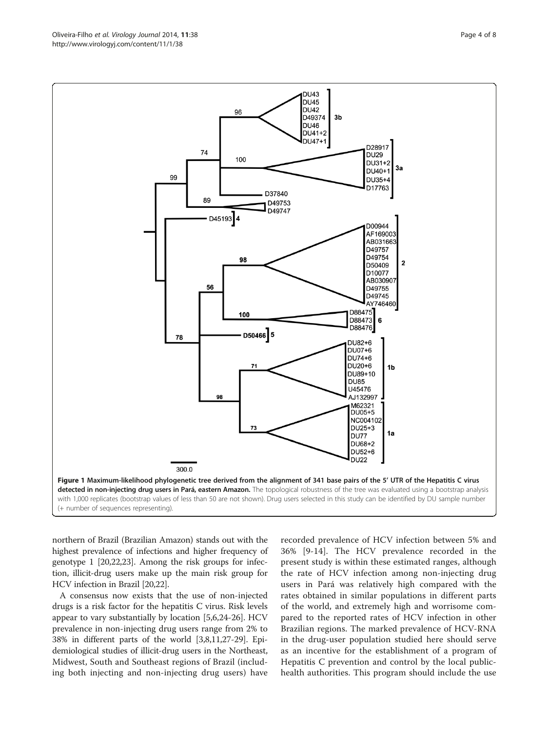northern of Brazil (Brazilian Amazon) stands out with the highest prevalence of infections and higher frequency of genotype 1 [\[20,22,23](#page-6-0)]. Among the risk groups for infection, illicit-drug users make up the main risk group for HCV infection in Brazil [\[20,22](#page-6-0)].

A consensus now exists that the use of non-injected drugs is a risk factor for the hepatitis C virus. Risk levels appear to vary substantially by location [[5](#page-6-0),[6,24-26\]](#page-6-0). HCV prevalence in non-injecting drug users range from 2% to 38% in different parts of the world [[3](#page-6-0),[8,11,27-29\]](#page-6-0). Epidemiological studies of illicit-drug users in the Northeast, Midwest, South and Southeast regions of Brazil (including both injecting and non-injecting drug users) have recorded prevalence of HCV infection between 5% and 36% [[9-14\]](#page-6-0). The HCV prevalence recorded in the present study is within these estimated ranges, although the rate of HCV infection among non-injecting drug users in Pará was relatively high compared with the rates obtained in similar populations in different parts of the world, and extremely high and worrisome compared to the reported rates of HCV infection in other Brazilian regions. The marked prevalence of HCV-RNA in the drug-user population studied here should serve as an incentive for the establishment of a program of Hepatitis C prevention and control by the local publichealth authorities. This program should include the use

<span id="page-3-0"></span>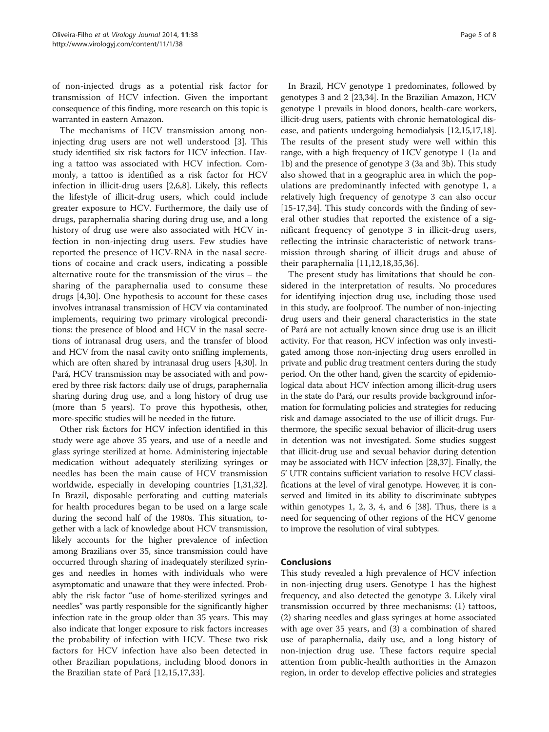of non-injected drugs as a potential risk factor for transmission of HCV infection. Given the important consequence of this finding, more research on this topic is warranted in eastern Amazon.

The mechanisms of HCV transmission among noninjecting drug users are not well understood [\[3](#page-6-0)]. This study identified six risk factors for HCV infection. Having a tattoo was associated with HCV infection. Commonly, a tattoo is identified as a risk factor for HCV infection in illicit-drug users [\[2,6](#page-6-0),[8](#page-6-0)]. Likely, this reflects the lifestyle of illicit-drug users, which could include greater exposure to HCV. Furthermore, the daily use of drugs, paraphernalia sharing during drug use, and a long history of drug use were also associated with HCV infection in non-injecting drug users. Few studies have reported the presence of HCV-RNA in the nasal secretions of cocaine and crack users, indicating a possible alternative route for the transmission of the virus – the sharing of the paraphernalia used to consume these drugs [\[4](#page-6-0),[30\]](#page-6-0). One hypothesis to account for these cases involves intranasal transmission of HCV via contaminated implements, requiring two primary virological preconditions: the presence of blood and HCV in the nasal secretions of intranasal drug users, and the transfer of blood and HCV from the nasal cavity onto sniffing implements, which are often shared by intranasal drug users [\[4,30](#page-6-0)]. In Pará, HCV transmission may be associated with and powered by three risk factors: daily use of drugs, paraphernalia sharing during drug use, and a long history of drug use (more than 5 years). To prove this hypothesis, other, more-specific studies will be needed in the future.

Other risk factors for HCV infection identified in this study were age above 35 years, and use of a needle and glass syringe sterilized at home. Administering injectable medication without adequately sterilizing syringes or needles has been the main cause of HCV transmission worldwide, especially in developing countries [\[1,31,32](#page-6-0)]. In Brazil, disposable perforating and cutting materials for health procedures began to be used on a large scale during the second half of the 1980s. This situation, together with a lack of knowledge about HCV transmission, likely accounts for the higher prevalence of infection among Brazilians over 35, since transmission could have occurred through sharing of inadequately sterilized syringes and needles in homes with individuals who were asymptomatic and unaware that they were infected. Probably the risk factor "use of home-sterilized syringes and needles" was partly responsible for the significantly higher infection rate in the group older than 35 years. This may also indicate that longer exposure to risk factors increases the probability of infection with HCV. These two risk factors for HCV infection have also been detected in other Brazilian populations, including blood donors in the Brazilian state of Pará [\[12,15](#page-6-0),[17,33\]](#page-6-0).

In Brazil, HCV genotype 1 predominates, followed by genotypes 3 and 2 [\[23,34](#page-6-0)]. In the Brazilian Amazon, HCV genotype 1 prevails in blood donors, health-care workers, illicit-drug users, patients with chronic hematological disease, and patients undergoing hemodialysis [[12,15,17,18](#page-6-0)]. The results of the present study were well within this range, with a high frequency of HCV genotype 1 (1a and 1b) and the presence of genotype 3 (3a and 3b). This study also showed that in a geographic area in which the populations are predominantly infected with genotype 1, a relatively high frequency of genotype 3 can also occur [[15-17,34\]](#page-6-0). This study concords with the finding of several other studies that reported the existence of a significant frequency of genotype 3 in illicit-drug users, reflecting the intrinsic characteristic of network transmission through sharing of illicit drugs and abuse of their paraphernalia [\[11,12](#page-6-0),[18,](#page-6-0)[35,36](#page-7-0)].

The present study has limitations that should be considered in the interpretation of results. No procedures for identifying injection drug use, including those used in this study, are foolproof. The number of non-injecting drug users and their general characteristics in the state of Pará are not actually known since drug use is an illicit activity. For that reason, HCV infection was only investigated among those non-injecting drug users enrolled in private and public drug treatment centers during the study period. On the other hand, given the scarcity of epidemiological data about HCV infection among illicit-drug users in the state do Pará, our results provide background information for formulating policies and strategies for reducing risk and damage associated to the use of illicit drugs. Furthermore, the specific sexual behavior of illicit-drug users in detention was not investigated. Some studies suggest that illicit-drug use and sexual behavior during detention may be associated with HCV infection [\[28,](#page-6-0)[37\]](#page-7-0). Finally, the 5' UTR contains sufficient variation to resolve HCV classifications at the level of viral genotype. However, it is conserved and limited in its ability to discriminate subtypes within genotypes 1, 2, 3, 4, and 6 [\[38\]](#page-7-0). Thus, there is a need for sequencing of other regions of the HCV genome to improve the resolution of viral subtypes.

# Conclusions

This study revealed a high prevalence of HCV infection in non-injecting drug users. Genotype 1 has the highest frequency, and also detected the genotype 3. Likely viral transmission occurred by three mechanisms: (1) tattoos, (2) sharing needles and glass syringes at home associated with age over 35 years, and (3) a combination of shared use of paraphernalia, daily use, and a long history of non-injection drug use. These factors require special attention from public-health authorities in the Amazon region, in order to develop effective policies and strategies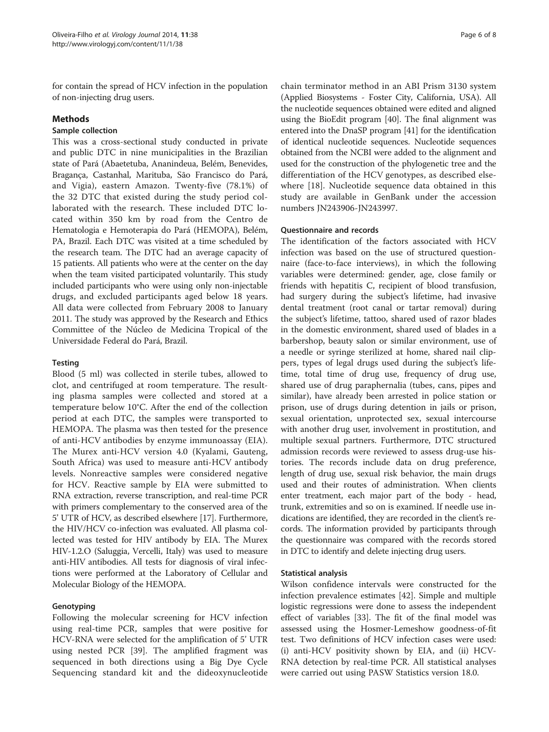for contain the spread of HCV infection in the population of non-injecting drug users.

## Methods

## Sample collection

This was a cross-sectional study conducted in private and public DTC in nine municipalities in the Brazilian state of Pará (Abaetetuba, Ananindeua, Belém, Benevides, Bragança, Castanhal, Marituba, São Francisco do Pará, and Vigia), eastern Amazon. Twenty-five (78.1%) of the 32 DTC that existed during the study period collaborated with the research. These included DTC located within 350 km by road from the Centro de Hematologia e Hemoterapia do Pará (HEMOPA), Belém, PA, Brazil. Each DTC was visited at a time scheduled by the research team. The DTC had an average capacity of 15 patients. All patients who were at the center on the day when the team visited participated voluntarily. This study included participants who were using only non-injectable drugs, and excluded participants aged below 18 years. All data were collected from February 2008 to January 2011. The study was approved by the Research and Ethics Committee of the Núcleo de Medicina Tropical of the Universidade Federal do Pará, Brazil.

# **Testing**

Blood (5 ml) was collected in sterile tubes, allowed to clot, and centrifuged at room temperature. The resulting plasma samples were collected and stored at a temperature below 10°C. After the end of the collection period at each DTC, the samples were transported to HEMOPA. The plasma was then tested for the presence of anti-HCV antibodies by enzyme immunoassay (EIA). The Murex anti-HCV version 4.0 (Kyalami, Gauteng, South Africa) was used to measure anti-HCV antibody levels. Nonreactive samples were considered negative for HCV. Reactive sample by EIA were submitted to RNA extraction, reverse transcription, and real-time PCR with primers complementary to the conserved area of the 5' UTR of HCV, as described elsewhere [[17](#page-6-0)]. Furthermore, the HIV/HCV co-infection was evaluated. All plasma collected was tested for HIV antibody by EIA. The Murex HIV-1.2.O (Saluggia, Vercelli, Italy) was used to measure anti-HIV antibodies. All tests for diagnosis of viral infections were performed at the Laboratory of Cellular and Molecular Biology of the HEMOPA.

# Genotyping

Following the molecular screening for HCV infection using real-time PCR, samples that were positive for HCV-RNA were selected for the amplification of 5' UTR using nested PCR [[39\]](#page-7-0). The amplified fragment was sequenced in both directions using a Big Dye Cycle Sequencing standard kit and the dideoxynucleotide chain terminator method in an ABI Prism 3130 system (Applied Biosystems - Foster City, California, USA). All the nucleotide sequences obtained were edited and aligned using the BioEdit program [[40](#page-7-0)]. The final alignment was entered into the DnaSP program [\[41\]](#page-7-0) for the identification of identical nucleotide sequences. Nucleotide sequences obtained from the NCBI were added to the alignment and used for the construction of the phylogenetic tree and the differentiation of the HCV genotypes, as described elsewhere [\[18](#page-6-0)]. Nucleotide sequence data obtained in this study are available in GenBank under the accession numbers JN243906-JN243997.

# Questionnaire and records

The identification of the factors associated with HCV infection was based on the use of structured questionnaire (face-to-face interviews), in which the following variables were determined: gender, age, close family or friends with hepatitis C, recipient of blood transfusion, had surgery during the subject's lifetime, had invasive dental treatment (root canal or tartar removal) during the subject's lifetime, tattoo, shared used of razor blades in the domestic environment, shared used of blades in a barbershop, beauty salon or similar environment, use of a needle or syringe sterilized at home, shared nail clippers, types of legal drugs used during the subject's lifetime, total time of drug use, frequency of drug use, shared use of drug paraphernalia (tubes, cans, pipes and similar), have already been arrested in police station or prison, use of drugs during detention in jails or prison, sexual orientation, unprotected sex, sexual intercourse with another drug user, involvement in prostitution, and multiple sexual partners. Furthermore, DTC structured admission records were reviewed to assess drug-use histories. The records include data on drug preference, length of drug use, sexual risk behavior, the main drugs used and their routes of administration. When clients enter treatment, each major part of the body - head, trunk, extremities and so on is examined. If needle use indications are identified, they are recorded in the client's records. The information provided by participants through the questionnaire was compared with the records stored in DTC to identify and delete injecting drug users.

# Statistical analysis

Wilson confidence intervals were constructed for the infection prevalence estimates [[42\]](#page-7-0). Simple and multiple logistic regressions were done to assess the independent effect of variables [\[33](#page-6-0)]. The fit of the final model was assessed using the Hosmer-Lemeshow goodness-of-fit test. Two definitions of HCV infection cases were used: (i) anti-HCV positivity shown by EIA, and (ii) HCV-RNA detection by real-time PCR. All statistical analyses were carried out using PASW Statistics version 18.0.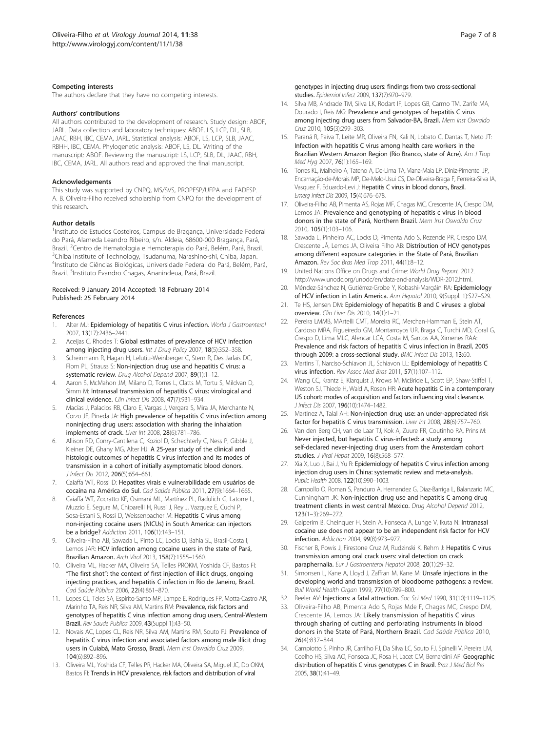## <span id="page-6-0"></span>Competing interests

The authors declare that they have no competing interests.

#### Authors' contributions

All authors contributed to the development of research. Study design: ABOF, JARL. Data collection and laboratory techniques: ABOF, LS, LCP, DL, SLB, JAAC, RBH, IBC, CEMA, JARL. Statistical analysis: ABOF, LS, LCP, SLB, JAAC, RBHH, IBC, CEMA. Phylogenetic analysis: ABOF, LS, DL. Writing of the manuscript: ABOF. Reviewing the manuscript: LS, LCP, SLB, DL, JAAC, RBH, IBC, CEMA, JARL. All authors read and approved the final manuscript.

### Acknowledgements

This study was supported by CNPQ, MS/SVS, PROPESP/UFPA and FADESP. A. B. Oliveira-Filho received scholarship from CNPQ for the development of this research.

### Author details

<sup>1</sup>Instituto de Estudos Costeiros, Campus de Bragança, Universidade Federal do Pará, Alameda Leandro Ribeiro, s/n. Aldeia, 68600-000 Bragança, Pará, Brazil. <sup>2</sup>Centro de Hematologia e Hemoterapia do Pará, Belém, Pará, Brazil.<br><sup>3</sup>Chiba Instituto of Technology, Tsudanuma, Narashino shi Chiba, Japan <sup>3</sup>Chiba Institute of Technology, Tsudanuma, Narashino-shi, Chiba, Japan. 4 Instituto de Ciências Biológicas, Universidade Federal do Pará, Belém, Pará, Brazil. <sup>5</sup>Instituto Evandro Chagas, Ananindeua, Pará, Brazil.

## Received: 9 January 2014 Accepted: 18 February 2014 Published: 25 February 2014

#### References

- 1. Alter MJ: Epidemiology of hepatitis C virus infection. World J Gastroenterol 2007, 13(17):2436–2441.
- Aceijas C, Rhodes T: Global estimates of prevalence of HCV infection among injecting drug users. Int J Drug Policy 2007, 18(5):352-358.
- 3. Scheinmann R, Hagan H, Lelutiu-Weinberger C, Stern R, Des Jarlais DC, Flom PL, Strauss S: Non-injection drug use and hepatitis C virus: a systematic review. Drug Alcohol Depend 2007, 89(1):1-12.
- 4. Aaron S, McMahon JM, Milano D, Torres L, Clatts M, Tortu S, Mildvan D, Simm M: Intranasal transmission of hepatitis C virus: virological and clinical evidence. Clin Infect Dis 2008, 47(7):931–934.
- 5. Macías J, Palacios RB, Claro E, Vargas J, Vergara S, Mira JA, Merchante N, Corzo JE, Pineda JA: High prevalence of hepatitis C virus infection among noninjecting drug users: association with sharing the inhalation implements of crack. Liver Int 2008, 28(6):781-786.
- 6. Allison RD, Conry-Cantilena C, Koziol D, Schechterly C, Ness P, Gibble J, Kleiner DE, Ghany MG, Alter HJ: A 25-year study of the clinical and histologic outcomes of hepatitis C virus infection and its modes of transmission in a cohort of initially asymptomatic blood donors. J Infect Dis 2012, 206(5):654–661.
- Caiaffa WT, Rossi D: Hepatites virais e vulnerabilidade em usuários de cocaína na América do Sul. Cad Saúde Pública 2011, 27(9):1664–1665.
- 8. Caiaffa WT, Zocratto KF, Osimani ML, Martínez PL, Radulich G, Latorre L, Muzzio E, Segura M, Chiparelli H, Russi J, Rey J, Vazquez E, Cuchi P, Sosa-Estani S, Rossi D, Weissenbacher M: Hepatitis C virus among non-injecting cocaine users (NICUs) in South America: can injectors be a bridge? Addiction 2011, 106(1):143–151.
- 9. Oliveira-Filho AB, Sawada L, Pinto LC, Locks D, Bahia SL, Brasil-Costa I, Lemos JAR: HCV infection among cocaine users in the state of Pará, Brazilian Amazon. Arch Virol 2013, 158(7):1555–1560.
- 10. Oliveira ML, Hacker MA, Oliveira SA, Telles PROKM, Yoshida CF, Bastos FI: "The first shot": the context of first injection of illicit drugs, ongoing injecting practices, and hepatitis C infection in Rio de Janeiro, Brazil. Cad Saúde Pública 2006, 22(4):861–870.
- 11. Lopes CL, Teles SA, Espírito-Santo MP, Lampe E, Rodrigues FP, Motta-Castro AR, Marinho TA, Reis NR, Silva AM, Martins RM: Prevalence, risk factors and genotypes of hepatitis C virus infection among drug users, Central-Western Brazil. Rev Saude Publica 2009, 43(Suppl 1):43–50.
- 12. Novais AC, Lopes CL, Reis NR, Silva AM, Martins RM, Souto FJ: Prevalence of hepatitis C virus infection and associated factors among male illicit drug users in Cuiabá, Mato Grosso, Brazil. Mem Inst Oswaldo Cruz 2009, 104(6):892–896.
- 13. Oliveira ML, Yoshida CF, Telles PR, Hacker MA, Oliveira SA, Miguel JC, Do OKM, Bastos FI: Trends in HCV prevalence, risk factors and distribution of viral

genotypes in injecting drug users: findings from two cross-sectional studies. Epidemiol Infect 2009, 137(7):970–979.

- 14. Silva MB, Andrade TM, Silva LK, Rodart IF, Lopes GB, Carmo TM, Zarife MA, Dourado I, Reis MG: Prevalence and genotypes of hepatitis C virus among injecting drug users from Salvador-BA, Brazil. Mem Inst Oswaldo Cruz 2010, 105(3):299–303.
- 15. Paraná R, Paiva T, Leite MR, Oliveira FN, Kali N, Lobato C, Dantas T, Neto JT: Infection with hepatitis C virus among health care workers in the Brazilian Western Amazon Region (Rio Branco, state of Acre). Am J Trop Med Hyg 2007, 76(1):165–169.
- 16. Torres KL, Malheiro A, Tateno A, De-Lima TA, Viana-Maia LP, Diniz-Pimentel JP, Encarnação-de-Morais MP, De-Melo-Usui CS, De-Oliveira-Braga F, Ferreira-Silva IA, Vasquez F, Eduardo-Levi J: Hepatitis C virus in blood donors, Brazil. Emerg Infect Dis 2009, 15(4):676–678.
- 17. Oliveira-Filho AB, Pimenta AS, Rojas MF, Chagas MC, Crescente JA, Crespo DM, Lemos JA: Prevalence and genotyping of hepatitis c virus in blood donors in the state of Pará, Northern Brazil. Mem Inst Oswaldo Cruz 2010, 105(1):103–106.
- 18. Sawada L, Pinheiro AC, Locks D, Pimenta Ado S, Rezende PR, Crespo DM, Crescente JÂ, Lemos JA, Oliveira Filho AB: Distribution of HCV genotypes among different exposure categories in the State of Pará, Brazilian Amazon. Rev Soc Bras Med Trop 2011, 44(1):8–12.
- 19. United Nations Office on Drugs and Crime: World Drug Report. 2012. [http://www.unodc.org/unodc/en/data-and-analysis/WDR-2012.html.](http://www.unodc.org/unodc/en/data-and-analysis/WDR-2012.html)
- 20. Méndez-Sánchez N, Gutiérrez-Grobe Y, Kobashi-Margáin RA: Epidemiology of HCV infection in Latin America. Ann Hepatol 2010, 9(Suppl. 1):S27–S29.
- 21. Te HS, Jensen DM: Epidemiology of hepatitis B and C viruses: a global overview. Clin Liver Dis 2010, 14(1):1–21.
- 22. Pereira LMMB, MArtelli CMT, Moreira RC, Merchan-Hamman E, Stein AT, Cardoso MRA, Figueiredo GM, Montarroyos UR, Braga C, Turchi MD, Coral G, Crespo D, Lima MLC, Alencar LCA, Costa M, Santos AA, Ximenes RAA: Prevalence and risk factors of hepatitis C virus infection in Brazil, 2005 through 2009: a cross-sectional study. BMC Infect Dis 2013, 13:60.
- 23. Martins T, Narciso-Schiavon JL, Schiavon LL: Epidemiology of hepatitis C virus infection. Rev Assoc Med Bras 2011, 57(1):107-112.
- 24. Wang CC, Krantz E, Klarquist J, Krows M, McBride L, Scott EP, Shaw-Stiffel T, Weston SJ, Thiede H, Wald A, Rosen HR: Acute hepatitis C in a contemporary US cohort: modes of acquisition and factors influencing viral clearance. J Infect Dis 2007, 196(10):1474–1482.
- 25. Martinez A, Talal AH: Non-injection drug use: an under-appreciated risk factor for hepatitis C virus transmission. Liver Int 2008, 28(6):757–760.
- 26. Van den Berg CH, van de Laar TJ, Kok A, Zuure FR, Coutinho RA, Prins M: Never injected, but hepatitis C virus-infected: a study among self-declared never-injecting drug users from the Amsterdam cohort studies. J Viral Hepat 2009, 16(8):568-577.
- 27. Xia X, Luo J, Bai J, Yu R: Epidemiology of hepatitis C virus infection among injection drug users in China: systematic review and meta-analysis. Public Health 2008, 122(10):990–1003.
- 28. Campollo O, Roman S, Panduro A, Hernandez G, Diaz-Barriga L, Balanzario MC, Cunningham JK: Non-injection drug use and hepatitis C among drug treatment clients in west central Mexico. Drug Alcohol Depend 2012, 123(1–3):269–272.
- 29. Galperim B, Cheinquer H, Stein A, Fonseca A, Lunge V, Ikuta N: Intranasal cocaine use does not appear to be an independent risk factor for HCV infection. Addiction 2004, 99(8):973–977.
- 30. Fischer B, Powis J, Firestone Cruz M, Rudzinski K, Rehm J: Hepatitis C virus transmission among oral crack users: viral detection on crack paraphernalia. Eur J Gastroenterol Hepatol 2008, 20(1):29-32.
- 31. Simonsen L, Kane A, Lloyd J, Zaffran M, Kane M: Unsafe injections in the developing world and transmission of bloodborne pathogens: a review. Bull World Health Organ 1999, 77(10):789–800.
- 32. Reeler AV: Injections: a fatal attraction. Soc Sci Med 1990, 31(10):1119-1125.
- 33. Oliveira-Filho AB, Pimenta Ado S, Rojas Mde F, Chagas MC, Crespo DM, Crescente JA, Lemos JA: Likely transmission of hepatitis C virus through sharing of cutting and perforating instruments in blood donors in the State of Pará, Northern Brazil. Cad Saúde Pública 2010, 26(4):837–844.
- 34. Campiotto S, Pinho JR, Carrilho FJ, Da Silva LC, Souto FJ, Spinelli V, Pereira LM, Coelho HS, Silva AO, Fonseca JC, Rosa H, Lacet CM, Bernardini AP: Geographic distribution of hepatitis C virus genotypes C in Brazil. Braz J Med Biol Res 2005, 38(1):41–49.